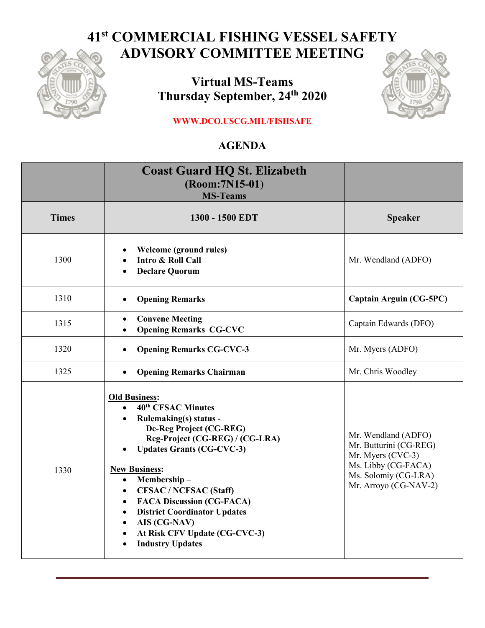## **41st COMMERCIAL FISHING VESSEL SAFETY ADVISORY COMMITTEE MEETING**



**Virtual MS-Teams Thursday September, 24th 2020**



**WWW.DCO.USCG.MIL/FISHSAFE**

## **AGENDA**

|              | <b>Coast Guard HQ St. Elizabeth</b><br>(Room: 7N15-01)<br><b>MS-Teams</b>                                                                                                                                                                                                                                                                                                                                                                                                                                           |                                                                                                                                            |
|--------------|---------------------------------------------------------------------------------------------------------------------------------------------------------------------------------------------------------------------------------------------------------------------------------------------------------------------------------------------------------------------------------------------------------------------------------------------------------------------------------------------------------------------|--------------------------------------------------------------------------------------------------------------------------------------------|
| <b>Times</b> | 1300 - 1500 EDT                                                                                                                                                                                                                                                                                                                                                                                                                                                                                                     | <b>Speaker</b>                                                                                                                             |
| 1300         | Welcome (ground rules)<br>Intro & Roll Call<br><b>Declare Quorum</b>                                                                                                                                                                                                                                                                                                                                                                                                                                                | Mr. Wendland (ADFO)                                                                                                                        |
| 1310         | <b>Opening Remarks</b><br>$\bullet$                                                                                                                                                                                                                                                                                                                                                                                                                                                                                 | <b>Captain Arguin (CG-5PC)</b>                                                                                                             |
| 1315         | <b>Convene Meeting</b><br>$\bullet$<br><b>Opening Remarks CG-CVC</b><br>$\bullet$                                                                                                                                                                                                                                                                                                                                                                                                                                   | Captain Edwards (DFO)                                                                                                                      |
| 1320         | <b>Opening Remarks CG-CVC-3</b><br>$\bullet$                                                                                                                                                                                                                                                                                                                                                                                                                                                                        | Mr. Myers (ADFO)                                                                                                                           |
| 1325         | <b>Opening Remarks Chairman</b><br>$\bullet$                                                                                                                                                                                                                                                                                                                                                                                                                                                                        | Mr. Chris Woodley                                                                                                                          |
| 1330         | <b>Old Business:</b><br>40 <sup>th</sup> CFSAC Minutes<br>$\bullet$<br><b>Rulemaking(s)</b> status -<br>De-Reg Project (CG-REG)<br>Reg-Project (CG-REG) / (CG-LRA)<br><b>Updates Grants (CG-CVC-3)</b><br><b>New Business:</b><br>Membership-<br>$\bullet$<br><b>CFSAC / NCFSAC (Staff)</b><br>$\bullet$<br><b>FACA Discussion (CG-FACA)</b><br>$\bullet$<br><b>District Coordinator Updates</b><br>$\bullet$<br>AIS (CG-NAV)<br>$\bullet$<br>At Risk CFV Update (CG-CVC-3)<br>$\bullet$<br><b>Industry Updates</b> | Mr. Wendland (ADFO)<br>Mr. Butturini (CG-REG)<br>Mr. Myers (CVC-3)<br>Ms. Libby (CG-FACA)<br>Ms. Solomiy (CG-LRA)<br>Mr. Arroyo (CG-NAV-2) |